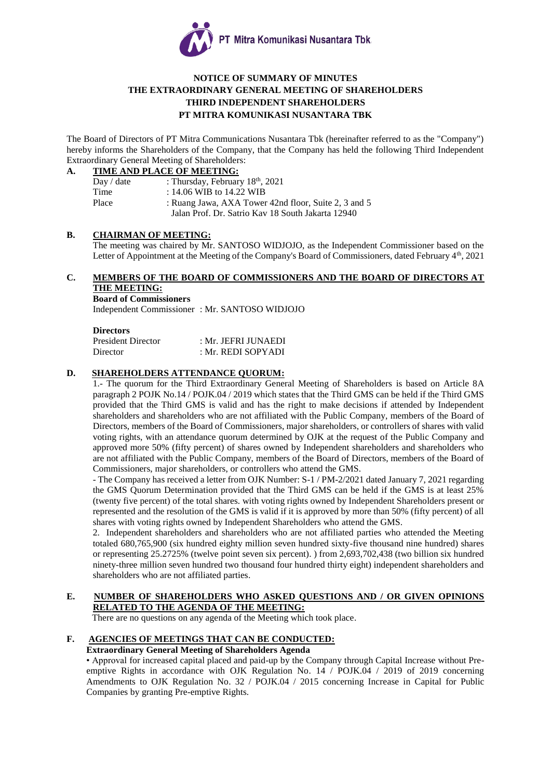

## **NOTICE OF SUMMARY OF MINUTES THE EXTRAORDINARY GENERAL MEETING OF SHAREHOLDERS THIRD INDEPENDENT SHAREHOLDERS PT MITRA KOMUNIKASI NUSANTARA TBK**

The Board of Directors of PT Mitra Communications Nusantara Tbk (hereinafter referred to as the "Company") hereby informs the Shareholders of the Company, that the Company has held the following Third Independent Extraordinary General Meeting of Shareholders:

#### **A. TIME AND PLACE OF MEETING:**

| Day / date | : Thursday, February $18th$ , 2021                   |
|------------|------------------------------------------------------|
| Time       | : 14.06 WIB to 14.22 WIB                             |
| Place      | : Ruang Jawa, AXA Tower 42nd floor, Suite 2, 3 and 5 |
|            | Jalan Prof. Dr. Satrio Kav 18 South Jakarta 12940    |
|            |                                                      |

#### **B. CHAIRMAN OF MEETING:**

The meeting was chaired by Mr. SANTOSO WIDJOJO, as the Independent Commissioner based on the Letter of Appointment at the Meeting of the Company's Board of Commissioners, dated February 4<sup>th</sup>, 2021

## **C. MEMBERS OF THE BOARD OF COMMISSIONERS AND THE BOARD OF DIRECTORS AT THE MEETING:**

**Board of Commissioners**

Independent Commissioner : Mr. SANTOSO WIDJOJO

#### **Directors**

| <b>President Director</b> | : Mr. JEFRI JUNAEDI |
|---------------------------|---------------------|
| Director                  | : Mr. REDI SOPYADI  |

#### **D. SHAREHOLDERS ATTENDANCE QUORUM:**

1.- The quorum for the Third Extraordinary General Meeting of Shareholders is based on Article 8A paragraph 2 POJK No.14 / POJK.04 / 2019 which states that the Third GMS can be held if the Third GMS provided that the Third GMS is valid and has the right to make decisions if attended by Independent shareholders and shareholders who are not affiliated with the Public Company, members of the Board of Directors, members of the Board of Commissioners, major shareholders, or controllers of shares with valid voting rights, with an attendance quorum determined by OJK at the request of the Public Company and approved more 50% (fifty percent) of shares owned by Independent shareholders and shareholders who are not affiliated with the Public Company, members of the Board of Directors, members of the Board of Commissioners, major shareholders, or controllers who attend the GMS.

- The Company has received a letter from OJK Number: S-1 / PM-2/2021 dated January 7, 2021 regarding the GMS Quorum Determination provided that the Third GMS can be held if the GMS is at least 25% (twenty five percent) of the total shares. with voting rights owned by Independent Shareholders present or represented and the resolution of the GMS is valid if it is approved by more than 50% (fifty percent) of all shares with voting rights owned by Independent Shareholders who attend the GMS.

2. Independent shareholders and shareholders who are not affiliated parties who attended the Meeting totaled 680,765,900 (six hundred eighty million seven hundred sixty-five thousand nine hundred) shares or representing 25.2725% (twelve point seven six percent). ) from 2,693,702,438 (two billion six hundred ninety-three million seven hundred two thousand four hundred thirty eight) independent shareholders and shareholders who are not affiliated parties.

#### **E. NUMBER OF SHAREHOLDERS WHO ASKED QUESTIONS AND / OR GIVEN OPINIONS RELATED TO THE AGENDA OF THE MEETING:**

There are no questions on any agenda of the Meeting which took place.

# **F. AGENCIES OF MEETINGS THAT CAN BE CONDUCTED:**

# **Extraordinary General Meeting of Shareholders Agenda**

• Approval for increased capital placed and paid-up by the Company through Capital Increase without Preemptive Rights in accordance with OJK Regulation No. 14 / POJK.04 / 2019 of 2019 concerning Amendments to OJK Regulation No. 32 / POJK.04 / 2015 concerning Increase in Capital for Public Companies by granting Pre-emptive Rights.